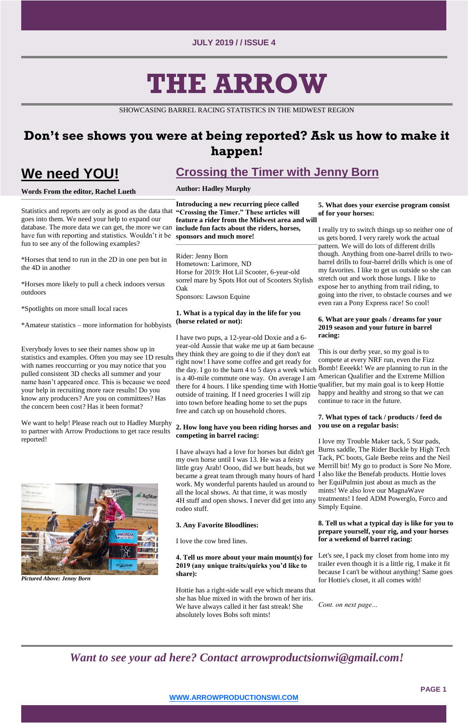**PAGE 1**

# **THE ARROW**

SHOWCASING BARREL RACING STATISTICS IN THE MIDWEST REGION

# **Don't see shows you were at being reported? Ask us how to make it happen!**

# **We need YOU!**

### **Words From the editor, Rachel Lueth**

Statistics and reports are only as good as the data that goes into them. We need your help to expand our database. The more data we can get, the more we can have fun with reporting and statistics. Wouldn't it be fun to see any of the following examples?

\*Horses that tend to run in the 2D in one pen but in the 4D in another

\*Horses more likely to pull a check indoors versus outdoors

\*Spotlights on more small local races

\*Amateur statistics – more information for hobbyists

Everybody loves to see their names show up in statistics and examples. Often you may see 1D results with names reoccurring or you may notice that you pulled consistent 3D checks all summer and your name hasn't appeared once. This is because we need your help in recruiting more race results! Do you know any producers? Are you on committees? Has the concern been cost? Has it been format?

We want to help! Please reach out to Hadley Murphy to partner with Arrow Productions to get race results reported!



*Pictured Above: Jenny Born* 

# **Crossing the Timer with Jenny Born**

### **Author: Hadley Murphy**

**Introducing a new recurring piece called "Crossing the Timer." These articles will feature a rider from the Midwest area and will include fun facts about the riders, horses, sponsors and much more!** 

Rider: Jenny Born Hometown: Larimore, ND Horse for 2019: Hot Lil Scooter, 6-year-old sorrel mare by Spots Hot out of Scooters Stylish Oak Sponsors: Lawson Equine

### **1. What is a typical day in the life for you (horse related or not):**

I have two pups, a 12-year-old Doxie and a 6 year-old Aussie that wake me up at 6am because they think they are going to die if they don't eat right now! I have some coffee and get ready for the day. I go to the barn 4 to 5 days a week which Bomb! Eeeekk! We are planning to run in the is a 40-mile commute one way. On average I am there for 4 hours. I like spending time with Hottie qualifier, but my main goal is to keep Hottie outside of training. If I need groceries I will zip into town before heading home to set the pups free and catch up on household chores.

### **2. How long have you been riding horses and competing in barrel racing:**

I have always had a love for horses but didn't get my own horse until I was 13. He was a feisty little gray Arab! Oooo, did we butt heads, but we became a great team through many hours of hard work. My wonderful parents hauled us around to her EquiPulmin just about as much as the all the local shows. At that time, it was mostly 4H stuff and open shows. I never did get into any treatments! I feed ADM Powerglo, Forco and rodeo stuff.

### **3. Any Favorite Bloodlines:**

I love the cow bred lines.

**4. Tell us more about your main mount(s) for 2019 (any unique traits/quirks you'd like to share):** 

Hottie has a right-side wall eye which means that she has blue mixed in with the brown of her iris. We have always called it her fast streak! She absolutely loves Bobs soft mints!

### **5. What does your exercise program consist of for your horses:**

I really try to switch things up so neither one of us gets bored. I very rarely work the actual pattern. We will do lots of different drills though. Anything from one-barrel drills to twobarrel drills to four-barrel drills which is one of my favorites. I like to get us outside so she can stretch out and work those lungs. I like to expose her to anything from trail riding, to going into the river, to obstacle courses and we even ran a Pony Express race! So cool!

### **6. What are your goals / dreams for your 2019 season and your future in barrel racing:**

This is our derby year, so my goal is to compete at every NRF run, even the Fizz American Qualifier and the Extreme Million happy and healthy and strong so that we can continue to race in the future.

### **7. What types of tack / products / feed do you use on a regular basis:**

I love my Trouble Maker tack, 5 Star pads, Burns saddle, The Rider Buckle by High Tech Tack, PC boots, Gale Beebe reins and the Neil Merrill bit! My go to product is Sore No More. I also like the Benefab products. Hottie loves mints! We also love our MagnaWave Simply Equine.

**8. Tell us what a typical day is like for you to prepare yourself, your rig, and your horses for a weekend of barrel racing:** 

Let's see, I pack my closet from home into my trailer even though it is a little rig, I make it fit because I can't be without anything! Same goes for Hottie's closet, it all comes with!

*Cont. on next page…*

*Want to see your ad here? Contact arrowproductsionwi@gmail.com!*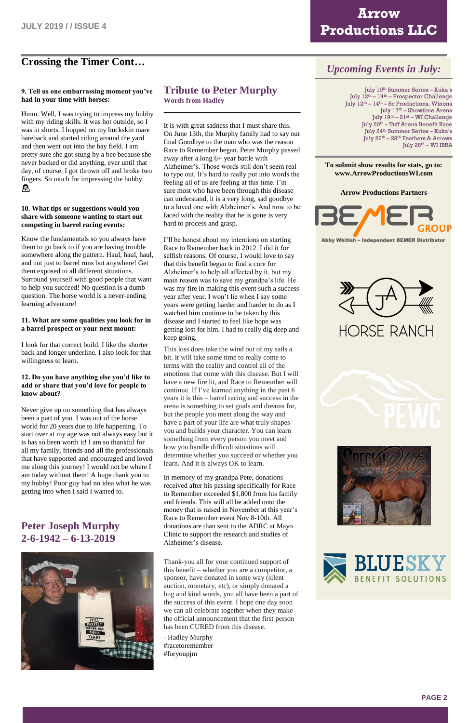# **Arrow Productions LLC**

### **Crossing the Timer Cont…**

Hmm. Well, I was trying to impress my hubby with my riding skills. It was hot outside, so I was in shorts. I hopped on my buckskin mare bareback and started riding around the yard and then went out into the hay field. I am pretty sure she got stung by a bee because she never bucked or did anything, ever until that day, of course. I got thrown off and broke two fingers. So much for impressing the hubby.  $^{\circledR}$ 

### **9. Tell us one embarrassing moment you've had in your time with horses:**

#### **10. What tips or suggestions would you share with someone wanting to start out competing in barrel racing events:**

Know the fundamentals so you always have them to go back to if you are having trouble somewhere along the pattern. Haul, haul, haul, and not just to barrel runs but anywhere! Get them exposed to all different situations. Surround yourself with good people that want to help you succeed! No question is a dumb question. The horse world is a never-ending learning adventure!

### **11. What are some qualities you look for in a barrel prospect or your next mount:**

I look for that correct build. I like the shorter back and longer underline. I also look for that willingness to learn.

### **12. Do you have anything else you'd like to add or share that you'd love for people to know about?**

Never give up on something that has always been a part of you. I was out of the horse world for 20 years due to life happening. To start over at my age was not always easy but it is has so been worth it! I am so thankful for all my family, friends and all the professionals that have supported and encouraged and loved me along this journey! I would not be where I am today without them! A huge thank you to my hubby! Poor guy had no idea what he was getting into when I said I wanted to.

### **Peter Joseph Murphy**

### **2-6-1942 – 6-13-2019**



### **Tribute to Peter Murphy Words from Hadley**

It is with great sadness that I must share this. On June 13th, the Murphy family had to say our final Goodbye to the man who was the reason Race to Remember began. Peter Murphy passed away after a long 6+ year battle with Alzheimer's. Those words still don't seem real to type out. It's hard to really put into words the feeling all of us are feeling at this time. I'm sure most who have been through this disease can understand, it is a very long, sad goodbye to a loved one with Alzheimer's. And now to be faced with the reality that he is gone is very hard to process and grasp.

July 10th Summer Series – Kuka's July 12th – 14th – Prospector Challenge July 12th – 14th – Sc Productions, Winona July 17<sup>th</sup> – Showtime Arena July 19th – 21st – WI Challenge July 20th – Tuff Arena Benefit Race July 24th Summer Series – Kuka's July 26th – 28th Feathers & Arrows July 26<sup>th</sup> – WI IBRA

**Arrow Productions PartnersBEA** Abby Whitish - Independent BEMER Distributor

**HORSE RANCH** 



I'll be honest about my intentions on starting Race to Remember back in 2012. I did it for selfish reasons. Of course, I would love to say that this benefit began to find a cure for Alzheimer's to help all affected by it, but my main reason was to save my grandpa's life. He was my fire in making this event such a success year after year. I won't lie when I say some years were getting harder and harder to do as I watched him continue to be taken by this disease and I started to feel like hope was getting lost for him. I had to really dig deep and keep going.

This loss does take the wind out of my sails a bit. It will take some time to really come to terms with the reality and control all of the emotions that come with this disease. But I will have a new fire lit, and Race to Remember will continue. If I've learned anything in the past 6 years it is this – barrel racing and success in the arena is something to set goals and dreams for, but the people you meet along the way and have a part of your life are what truly shapes you and builds your character. You can learn something from every person you meet and how you handle difficult situations will determine whether you succeed or whether you learn. And it is always OK to learn.

In memory of my grandpa Pete, donations received after his passing specifically for Race to Remember exceeded \$1,800 from his family and friends. This will all be added onto the money that is raised in November at this year's Race to Remember event Nov 8-10th. All donations are than sent to the ADRC at Mayo

Clinic to support the research and studies of Alzheimer's disease.

Thank-you all for your continued support of this benefit – whether you are a competitor, a sponsor, have donated in some way (silent auction, monetary, etc), or simply donated a hug and kind words, you all have been a part of the success of this event. I hope one day soon we can all celebrate together when they make the official announcement that the first person has been CURED from this disease.

- Hadley Murphy [#racetoremember](https://www.facebook.com/hashtag/racetoremember?source=feed_text&epa=HASHTAG&__xts__%5B0%5D=68.ARDUvZfiyFQhvA8HKABDWt90ytMQ9SVYCi1J_BcJLQykPb6lvO4-a8vERBjVz6prqjFmmluSMFGNyOL_K8hZAhutndrsRgxkJcyro6yNRk_WcMxEjioZovRBTpfIt3uC9ZWQPlSXcX6XbX-7FzPZA03AQo8h_wLqLBFbv1sBH8Kdwd2ZYcbNXC2--zBWxcJGmuISQhJ_fmUEv7tTv-VfsLYhq8slMM123jH00YoK3OBMctTaywn_P-mwSYb5UODkXqofGnOSwxoIXC_-riC7jDUSpQWax4V1WACZ6OY0MSmEREVnPgETTjF_KtbtqcQwfAAGe45l8IzjqI6LOoDmbqVEbg&__tn__=%2ANK-R) [#foryoupjm](https://www.facebook.com/hashtag/foryoupjm?source=feed_text&epa=HASHTAG&__xts__%5B0%5D=68.ARDUvZfiyFQhvA8HKABDWt90ytMQ9SVYCi1J_BcJLQykPb6lvO4-a8vERBjVz6prqjFmmluSMFGNyOL_K8hZAhutndrsRgxkJcyro6yNRk_WcMxEjioZovRBTpfIt3uC9ZWQPlSXcX6XbX-7FzPZA03AQo8h_wLqLBFbv1sBH8Kdwd2ZYcbNXC2--zBWxcJGmuISQhJ_fmUEv7tTv-VfsLYhq8slMM123jH00YoK3OBMctTaywn_P-mwSYb5UODkXqofGnOSwxoIXC_-riC7jDUSpQWax4V1WACZ6OY0MSmEREVnPgETTjF_KtbtqcQwfAAGe45l8IzjqI6LOoDmbqVEbg&__tn__=%2ANK-R)



### *Upcoming Events in July:*

### **To submit show results for stats, go to: www.ArrowProductionsWI.com**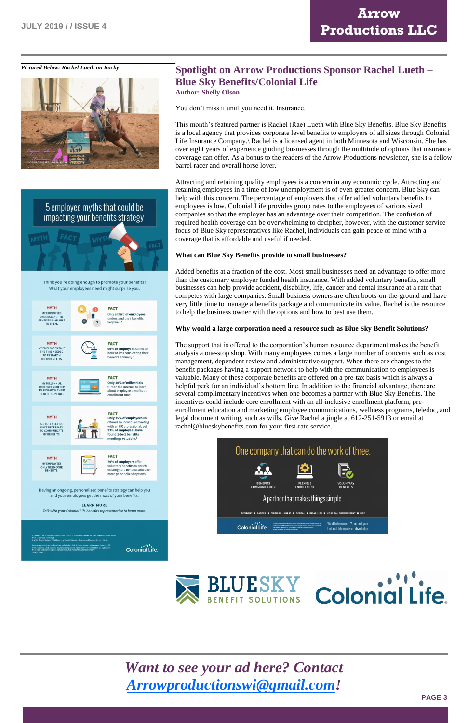**PAGE 3**







#### **LEARN MORE** Talk with your Colonial Life benefits representative to learn more.

## *Pictured Below: Rachel Lueth on Rocky* **Spotlight on Arrow Productions Sponsor Rachel Lueth – Blue Sky Benefits/Colonial Life**

**Author: Shelly Olson** 

### You don't miss it until you need it. Insurance.

This month's featured partner is Rachel (Rae) Lueth with Blue Sky Benefits. Blue Sky Benefits is a local agency that provides corporate level benefits to employers of all sizes through Colonial Life Insurance Company. Rachel is a licensed agent in both Minnesota and Wisconsin. She has over eight years of experience guiding businesses through the multitude of options that insurance coverage can offer. As a bonus to the readers of the Arrow Productions newsletter, she is a fellow barrel racer and overall horse lover.

Attracting and retaining quality employees is a concern in any economic cycle. Attracting and retaining employees in a time of low unemployment is of even greater concern. Blue Sky can help with this concern. The percentage of employers that offer added voluntary benefits to employees is low. Colonial Life provides group rates to the employees of various sized companies so that the employer has an advantage over their competition. The confusion of required health coverage can be overwhelming to decipher, however, with the customer service focus of Blue Sky representatives like Rachel, individuals can gain peace of mind with a coverage that is affordable and useful if needed.

### **What can Blue Sky Benefits provide to small businesses?**

Added benefits at a fraction of the cost. Most small businesses need an advantage to offer more than the customary employer funded health insurance. With added voluntary benefits, small businesses can help provide accident, disability, life, cancer and dental insurance at a rate that competes with large companies. Small business owners are often boots-on-the-ground and have very little time to manage a benefits package and communicate its value. Rachel is the resource to help the business owner with the options and how to best use them.

### **Why would a large corporation need a resource such as Blue Sky Benefit Solutions?**

The support that is offered to the corporation's human resource department makes the benefit analysis a one-stop shop. With many employees comes a large number of concerns such as cost management, dependent review and administrative support. When there are changes to the benefit packages having a support network to help with the communication to employees is valuable. Many of these corporate benefits are offered on a pre-tax basis which is always a helpful perk for an individual's bottom line. In addition to the financial advantage, there are several complimentary incentives when one becomes a partner with Blue Sky Benefits. The incentives could include core enrollment with an all-inclusive enrollment platform, preenrollment education and marketing employee communications, wellness programs, teledoc, and legal document writing, such as wills. Give Rachel a jingle at 612-251-5913 or email at rachel@blueskybenefits.com for your first-rate service.







# *Want to see your ad here? Contact [Arrowproductionswi@gmail.com!](mailto:Arrowproductionswi@gmail.com)*